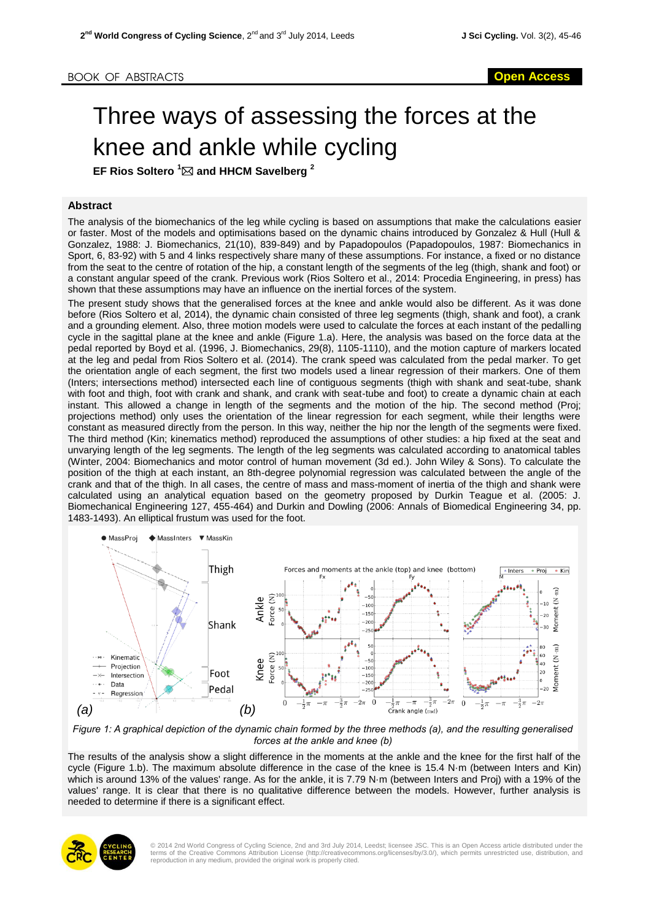## Three ways of assessing the forces at the knee and ankle while cycling

**EF Rios Soltero <sup>1</sup> and HHCM Savelberg [2](#page-1-0)**

## **Abstract**

The analysis of the biomechanics of the leg while cycling is based on assumptions that make the calculations easier or faster. Most of the models and optimisations based on the dynamic chains introduced by Gonzalez & Hull (Hull & Gonzalez, 1988: J. Biomechanics, 21(10), 839-849) and by Papadopoulos (Papadopoulos, 1987: Biomechanics in Sport, 6, 83-92) with 5 and 4 links respectively share many of these assumptions. For instance, a fixed or no distance from the seat to the centre of rotation of the hip, a constant length of the segments of the leg (thigh, shank and foot) or a constant angular speed of the crank. Previous work (Rios Soltero et al., 2014: Procedia Engineering, in press) has shown that these assumptions may have an influence on the inertial forces of the system.

The present study shows that the generalised forces at the knee and ankle would also be different. As it was done before (Rios Soltero et al, 2014), the dynamic chain consisted of three leg segments (thigh, shank and foot), a crank and a grounding element. Also, three motion models were used to calculate the forces at each instant of the pedalling cycle in the sagittal plane at the knee and ankle (Figure 1.a). Here, the analysis was based on the force data at the pedal reported by Boyd et al. (1996, J. Biomechanics, 29(8), 1105-1110), and the motion capture of markers located at the leg and pedal from Rios Soltero et al. (2014). The crank speed was calculated from the pedal marker. To get the orientation angle of each segment, the first two models used a linear regression of their markers. One of them (Inters; intersections method) intersected each line of contiguous segments (thigh with shank and seat-tube, shank with foot and thigh, foot with crank and shank, and crank with seat-tube and foot) to create a dynamic chain at each instant. This allowed a change in length of the segments and the motion of the hip. The second method (Proj; projections method) only uses the orientation of the linear regression for each segment, while their lengths were constant as measured directly from the person. In this way, neither the hip nor the length of the segments were fixed. The third method (Kin; kinematics method) reproduced the assumptions of other studies: a hip fixed at the seat and unvarying length of the leg segments. The length of the leg segments was calculated according to anatomical tables (Winter, 2004: Biomechanics and motor control of human movement (3d ed.). John Wiley & Sons). To calculate the position of the thigh at each instant, an 8th-degree polynomial regression was calculated between the angle of the crank and that of the thigh. In all cases, the centre of mass and mass-moment of inertia of the thigh and shank were calculated using an analytical equation based on the geometry proposed by Durkin Teague et al. (2005: J. Biomechanical Engineering 127, 455-464) and Durkin and Dowling (2006: Annals of Biomedical Engineering 34, pp. 1483-1493). An elliptical frustum was used for the foot.



*Figure 1: A graphical depiction of the dynamic chain formed by the three methods (a), and the resulting generalised forces at the ankle and knee (b)*

The results of the analysis show a slight difference in the moments at the ankle and the knee for the first half of the cycle (Figure 1.b). The maximum absolute difference in the case of the knee is 15.4 N·m (between Inters and Kin) which is around 13% of the values' range. As for the ankle, it is 7.79 N·m (between Inters and Proj) with a 19% of the values' range. It is clear that there is no qualitative difference between the models. However, further analysis is needed to determine if there is a significant effect.



© 2014 2nd World Congress of Cycling Science, 2nd and 3rd July 2014, Leedst; licensee JSC. This is an Open Access article distributed under the<br>terms of the Creative Commons Attribution License (http://creativecommons.org/ reproduction in any medium, provided the original work is properly cited.